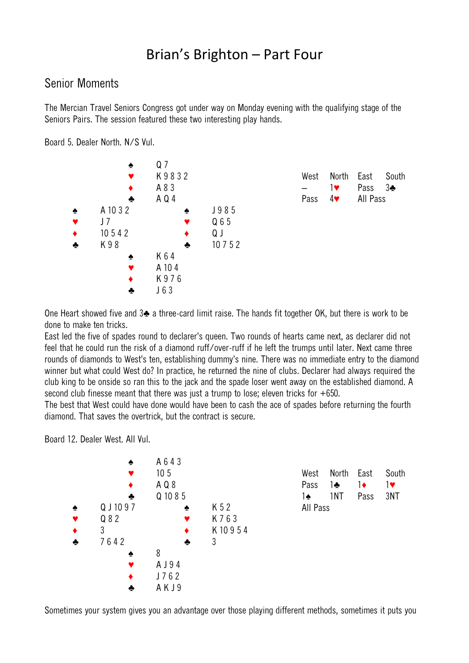## Brian's Brighton – Part Four

## Senior Moments

The Mercian Travel Seniors Congress got under way on Monday evening with the qualifying stage of the Seniors Pairs. The session featured these two interesting play hands.

Board 5. Dealer North. N/S Vul.



One Heart showed five and 3♣ a three-card limit raise. The hands fit together OK, but there is work to be done to make ten tricks.

East led the five of spades round to declarer's queen. Two rounds of hearts came next, as declarer did not feel that he could run the risk of a diamond ruff/over-ruff if he left the trumps until later. Next came three rounds of diamonds to West's ten, establishing dummy's nine. There was no immediate entry to the diamond winner but what could West do? In practice, he returned the nine of clubs. Declarer had always required the club king to be onside so ran this to the jack and the spade loser went away on the established diamond. A second club finesse meant that there was just a trump to lose; eleven tricks for +650.

The best that West could have done would have been to cash the ace of spades before returning the fourth diamond. That saves the overtrick, but the contract is secure.

Board 12. Dealer West. All Vul.



Sometimes your system gives you an advantage over those playing different methods, sometimes it puts you